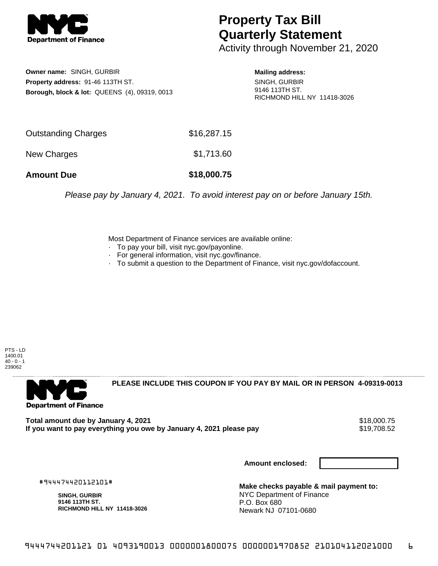

## **Property Tax Bill Quarterly Statement**

Activity through November 21, 2020

**Owner name:** SINGH, GURBIR **Property address:** 91-46 113TH ST. **Borough, block & lot:** QUEENS (4), 09319, 0013

**Mailing address:** SINGH, GURBIR 9146 113TH ST. RICHMOND HILL NY 11418-3026

| <b>Amount Due</b>          | \$18,000.75 |
|----------------------------|-------------|
| New Charges                | \$1,713.60  |
| <b>Outstanding Charges</b> | \$16,287.15 |

Please pay by January 4, 2021. To avoid interest pay on or before January 15th.

Most Department of Finance services are available online:

- · To pay your bill, visit nyc.gov/payonline.
- For general information, visit nyc.gov/finance.
- · To submit a question to the Department of Finance, visit nyc.gov/dofaccount.

PTS - LD 1400.01  $40 - 0 - 1$ 239062



**PLEASE INCLUDE THIS COUPON IF YOU PAY BY MAIL OR IN PERSON 4-09319-0013** 

**Total amount due by January 4, 2021**<br>If you want to pay everything you owe by January 4, 2021 please pay **19.000.00 \$19,708.52** If you want to pay everything you owe by January 4, 2021 please pay

**Amount enclosed:**

#944474420112101#

**SINGH, GURBIR 9146 113TH ST. RICHMOND HILL NY 11418-3026**

**Make checks payable & mail payment to:** NYC Department of Finance P.O. Box 680 Newark NJ 07101-0680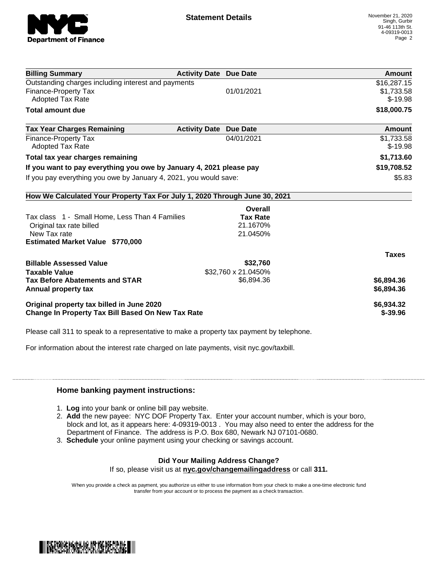

| <b>Billing Summary</b>                                                     | <b>Activity Date Due Date</b>           | <b>Amount</b> |
|----------------------------------------------------------------------------|-----------------------------------------|---------------|
| Outstanding charges including interest and payments                        |                                         | \$16,287.15   |
| <b>Finance-Property Tax</b>                                                | 01/01/2021                              | \$1,733.58    |
| <b>Adopted Tax Rate</b>                                                    |                                         | $$-19.98$     |
| <b>Total amount due</b>                                                    |                                         | \$18,000.75   |
| <b>Tax Year Charges Remaining</b>                                          | <b>Activity Date</b><br><b>Due Date</b> | Amount        |
| <b>Finance-Property Tax</b>                                                | 04/01/2021                              | \$1,733.58    |
| <b>Adopted Tax Rate</b>                                                    |                                         | $$-19.98$     |
| Total tax year charges remaining                                           |                                         | \$1,713.60    |
| If you want to pay everything you owe by January 4, 2021 please pay        |                                         | \$19,708.52   |
| If you pay everything you owe by January 4, 2021, you would save:          |                                         | \$5.83        |
| How We Calculated Your Property Tax For July 1, 2020 Through June 30, 2021 |                                         |               |
|                                                                            | Overall                                 |               |
| Tax class 1 - Small Home, Less Than 4 Families                             | <b>Tax Rate</b>                         |               |
| Original tax rate billed                                                   | 21.1670%                                |               |
| New Tax rate                                                               | 21.0450%                                |               |
| <b>Estimated Market Value \$770,000</b>                                    |                                         |               |
|                                                                            |                                         | <b>Taxes</b>  |
| <b>Billable Assessed Value</b>                                             | \$32,760                                |               |
| <b>Taxable Value</b>                                                       | \$32,760 x 21.0450%                     |               |
| <b>Tax Before Abatements and STAR</b>                                      | \$6,894.36                              | \$6,894.36    |
| Annual property tax                                                        |                                         | \$6,894.36    |
| Original property tax billed in June 2020                                  |                                         | \$6,934.32    |
| <b>Change In Property Tax Bill Based On New Tax Rate</b>                   |                                         | $$ -39.96$    |

Please call 311 to speak to a representative to make a property tax payment by telephone.

For information about the interest rate charged on late payments, visit nyc.gov/taxbill.

## **Home banking payment instructions:**

- 1. **Log** into your bank or online bill pay website.
- 2. **Add** the new payee: NYC DOF Property Tax. Enter your account number, which is your boro, block and lot, as it appears here: 4-09319-0013 . You may also need to enter the address for the Department of Finance. The address is P.O. Box 680, Newark NJ 07101-0680.
- 3. **Schedule** your online payment using your checking or savings account.

## **Did Your Mailing Address Change?**

If so, please visit us at **nyc.gov/changemailingaddress** or call **311.**

When you provide a check as payment, you authorize us either to use information from your check to make a one-time electronic fund transfer from your account or to process the payment as a check transaction.